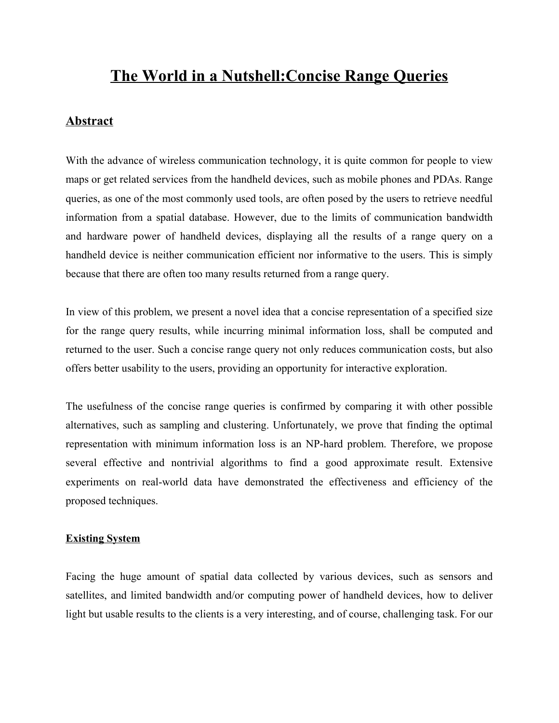# **The World in a Nutshell:Concise Range Queries**

### **Abstract**

With the advance of wireless communication technology, it is quite common for people to view maps or get related services from the handheld devices, such as mobile phones and PDAs. Range queries, as one of the most commonly used tools, are often posed by the users to retrieve needful information from a spatial database. However, due to the limits of communication bandwidth and hardware power of handheld devices, displaying all the results of a range query on a handheld device is neither communication efficient nor informative to the users. This is simply because that there are often too many results returned from a range query.

In view of this problem, we present a novel idea that a concise representation of a specified size for the range query results, while incurring minimal information loss, shall be computed and returned to the user. Such a concise range query not only reduces communication costs, but also offers better usability to the users, providing an opportunity for interactive exploration.

The usefulness of the concise range queries is confirmed by comparing it with other possible alternatives, such as sampling and clustering. Unfortunately, we prove that finding the optimal representation with minimum information loss is an NP-hard problem. Therefore, we propose several effective and nontrivial algorithms to find a good approximate result. Extensive experiments on real-world data have demonstrated the effectiveness and efficiency of the proposed techniques.

#### **Existing System**

Facing the huge amount of spatial data collected by various devices, such as sensors and satellites, and limited bandwidth and/or computing power of handheld devices, how to deliver light but usable results to the clients is a very interesting, and of course, challenging task. For our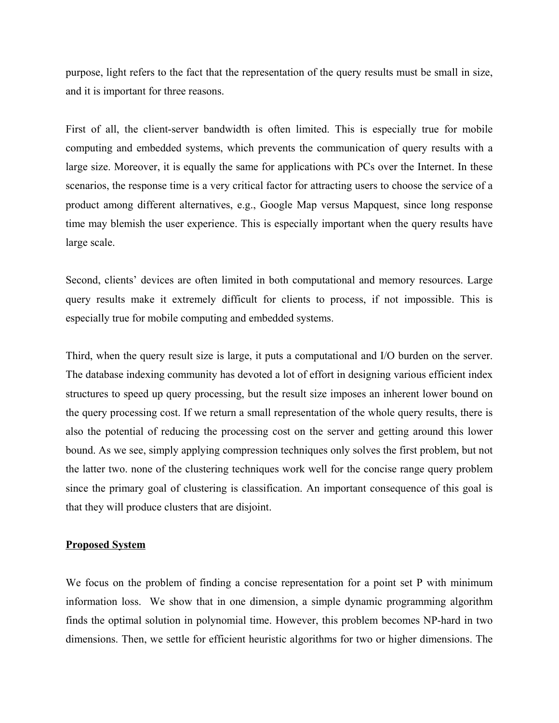purpose, light refers to the fact that the representation of the query results must be small in size, and it is important for three reasons.

First of all, the client-server bandwidth is often limited. This is especially true for mobile computing and embedded systems, which prevents the communication of query results with a large size. Moreover, it is equally the same for applications with PCs over the Internet. In these scenarios, the response time is a very critical factor for attracting users to choose the service of a product among different alternatives, e.g., Google Map versus Mapquest, since long response time may blemish the user experience. This is especially important when the query results have large scale.

Second, clients' devices are often limited in both computational and memory resources. Large query results make it extremely difficult for clients to process, if not impossible. This is especially true for mobile computing and embedded systems.

Third, when the query result size is large, it puts a computational and I/O burden on the server. The database indexing community has devoted a lot of effort in designing various efficient index structures to speed up query processing, but the result size imposes an inherent lower bound on the query processing cost. If we return a small representation of the whole query results, there is also the potential of reducing the processing cost on the server and getting around this lower bound. As we see, simply applying compression techniques only solves the first problem, but not the latter two. none of the clustering techniques work well for the concise range query problem since the primary goal of clustering is classification. An important consequence of this goal is that they will produce clusters that are disjoint.

#### **Proposed System**

We focus on the problem of finding a concise representation for a point set P with minimum information loss. We show that in one dimension, a simple dynamic programming algorithm finds the optimal solution in polynomial time. However, this problem becomes NP-hard in two dimensions. Then, we settle for efficient heuristic algorithms for two or higher dimensions. The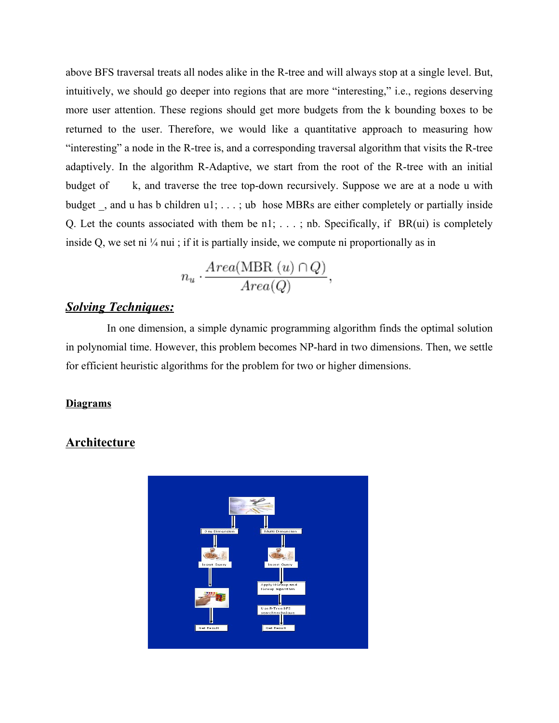above BFS traversal treats all nodes alike in the R-tree and will always stop at a single level. But, intuitively, we should go deeper into regions that are more "interesting," i.e., regions deserving more user attention. These regions should get more budgets from the k bounding boxes to be returned to the user. Therefore, we would like a quantitative approach to measuring how "interesting" a node in the R-tree is, and a corresponding traversal algorithm that visits the R-tree adaptively. In the algorithm R-Adaptive, we start from the root of the R-tree with an initial budget of k, and traverse the tree top-down recursively. Suppose we are at a node u with budget \_, and u has b children u1; . . . ; ub hose MBRs are either completely or partially inside Q. Let the counts associated with them be n1; . . . ; nb. Specifically, if BR(ui) is completely inside Q, we set ni  $\frac{1}{4}$  nui; if it is partially inside, we compute ni proportionally as in

$$
n_u \cdot \frac{Area(MBR(u) \cap Q)}{Area(Q)},
$$

## *Solving Techniques:*

In one dimension, a simple dynamic programming algorithm finds the optimal solution in polynomial time. However, this problem becomes NP-hard in two dimensions. Then, we settle for efficient heuristic algorithms for the problem for two or higher dimensions.

#### **Diagrams**

### **Architecture**

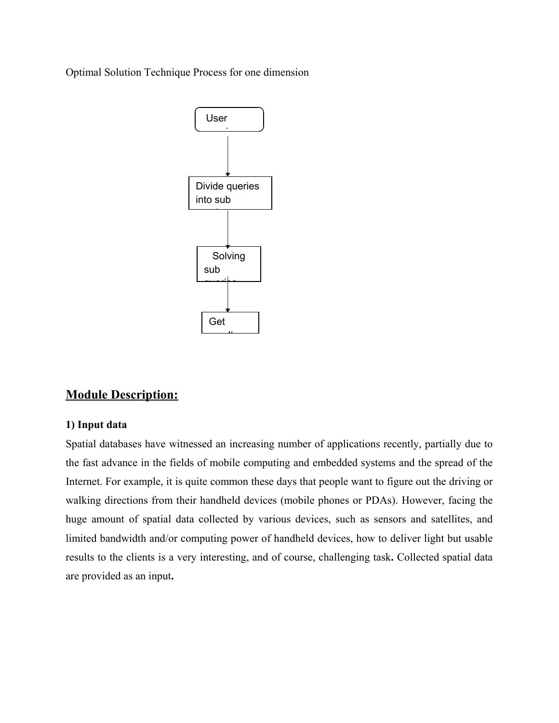Optimal Solution Technique Process for one dimension



# **Module Description:**

### **1) Input data**

Spatial databases have witnessed an increasing number of applications recently, partially due to the fast advance in the fields of mobile computing and embedded systems and the spread of the Internet. For example, it is quite common these days that people want to figure out the driving or walking directions from their handheld devices (mobile phones or PDAs). However, facing the huge amount of spatial data collected by various devices, such as sensors and satellites, and limited bandwidth and/or computing power of handheld devices, how to deliver light but usable results to the clients is a very interesting, and of course, challenging task**.** Collected spatial data are provided as an input**.**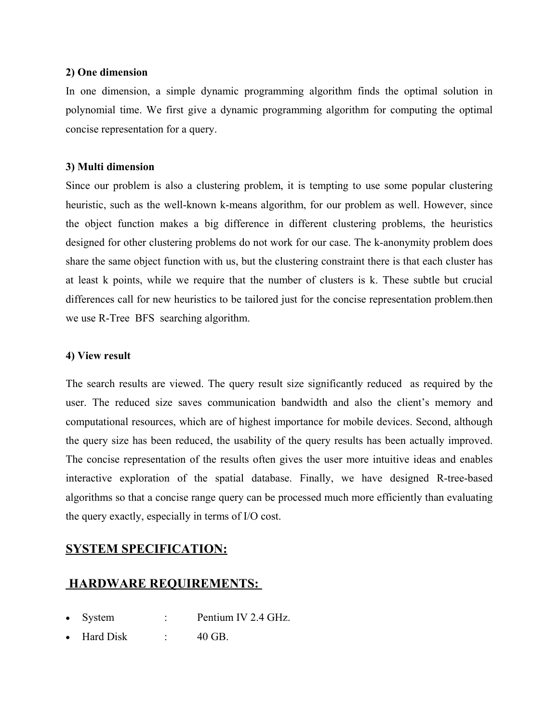#### **2) One dimension**

In one dimension, a simple dynamic programming algorithm finds the optimal solution in polynomial time. We first give a dynamic programming algorithm for computing the optimal concise representation for a query.

### **3) Multi dimension**

Since our problem is also a clustering problem, it is tempting to use some popular clustering heuristic, such as the well-known k-means algorithm, for our problem as well. However, since the object function makes a big difference in different clustering problems, the heuristics designed for other clustering problems do not work for our case. The k-anonymity problem does share the same object function with us, but the clustering constraint there is that each cluster has at least k points, while we require that the number of clusters is k. These subtle but crucial differences call for new heuristics to be tailored just for the concise representation problem.then we use R-Tree BFS searching algorithm.

### **4) View result**

The search results are viewed. The query result size significantly reduced as required by the user. The reduced size saves communication bandwidth and also the client's memory and computational resources, which are of highest importance for mobile devices. Second, although the query size has been reduced, the usability of the query results has been actually improved. The concise representation of the results often gives the user more intuitive ideas and enables interactive exploration of the spatial database. Finally, we have designed R-tree-based algorithms so that a concise range query can be processed much more efficiently than evaluating the query exactly, especially in terms of I/O cost.

# **SYSTEM SPECIFICATION:**

# **HARDWARE REQUIREMENTS:**

- System : Pentium IV 2.4 GHz.
- Hard Disk : 40 GB.